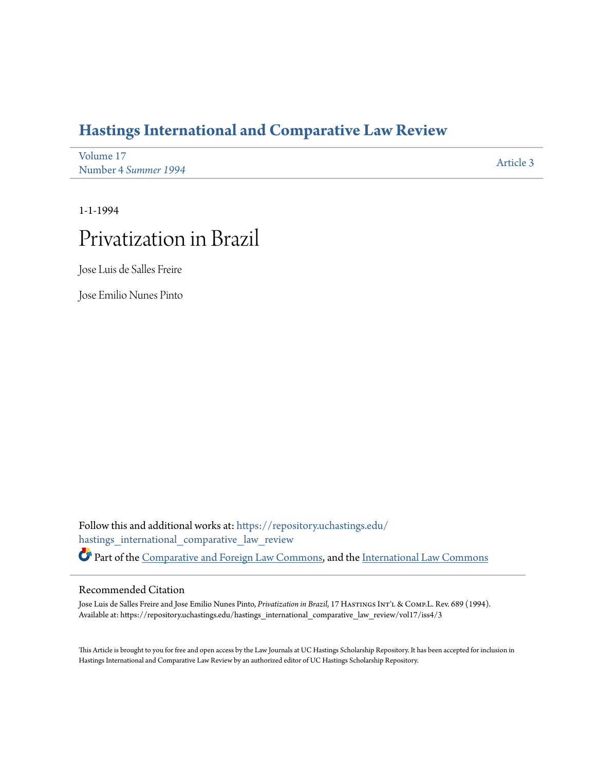## **[Hastings International and Comparative Law Review](https://repository.uchastings.edu/hastings_international_comparative_law_review?utm_source=repository.uchastings.edu%2Fhastings_international_comparative_law_review%2Fvol17%2Fiss4%2F3&utm_medium=PDF&utm_campaign=PDFCoverPages)**

| Volume 17            | Article 3 |
|----------------------|-----------|
| Number 4 Summer 1994 |           |

1-1-1994

## Privatization in Brazil

Jose Luis de Salles Freire

Jose Emilio Nunes Pinto

Follow this and additional works at: [https://repository.uchastings.edu/](https://repository.uchastings.edu/hastings_international_comparative_law_review?utm_source=repository.uchastings.edu%2Fhastings_international_comparative_law_review%2Fvol17%2Fiss4%2F3&utm_medium=PDF&utm_campaign=PDFCoverPages) [hastings\\_international\\_comparative\\_law\\_review](https://repository.uchastings.edu/hastings_international_comparative_law_review?utm_source=repository.uchastings.edu%2Fhastings_international_comparative_law_review%2Fvol17%2Fiss4%2F3&utm_medium=PDF&utm_campaign=PDFCoverPages) Part of the [Comparative and Foreign Law Commons](http://network.bepress.com/hgg/discipline/836?utm_source=repository.uchastings.edu%2Fhastings_international_comparative_law_review%2Fvol17%2Fiss4%2F3&utm_medium=PDF&utm_campaign=PDFCoverPages), and the [International Law Commons](http://network.bepress.com/hgg/discipline/609?utm_source=repository.uchastings.edu%2Fhastings_international_comparative_law_review%2Fvol17%2Fiss4%2F3&utm_medium=PDF&utm_campaign=PDFCoverPages)

## Recommended Citation

Jose Luis de Salles Freire and Jose Emilio Nunes Pinto, *Privatization in Brazil*, 17 HASTINGS INT'L & COMP.L. Rev. 689 (1994). Available at: https://repository.uchastings.edu/hastings\_international\_comparative\_law\_review/vol17/iss4/3

This Article is brought to you for free and open access by the Law Journals at UC Hastings Scholarship Repository. It has been accepted for inclusion in Hastings International and Comparative Law Review by an authorized editor of UC Hastings Scholarship Repository.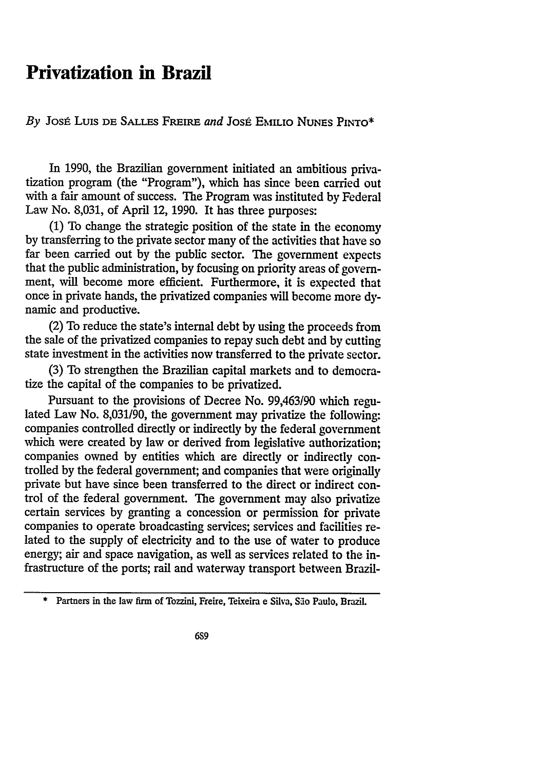## **Privatization in Brazil**

*By* Jost Luis DE SALLF-S FREmE *and* Jost EmLIO **NUNES PINTO\***

In 1990, the Brazilian government initiated an ambitious privatization program (the "Program"), which has since been carried out with a fair amount of success. The Program was instituted by Federal Law No. 8,031, of April 12, 1990. It has three purposes:

**(1)** To change the strategic position of the state in the economy by transferring to the private sector many of the activities that have so far been carried out by the public sector. **The** government expects that the public administration, by focusing on priority areas of government, will become more efficient. Furthermore, it is expected that once in private hands, the privatized companies will become more dynamic and productive.

(2) To reduce the state's internal debt by using the proceeds from the sale of the privatized companies to repay such debt and by cutting state investment in the activities now transferred to the private sector.

(3) To strengthen the Brazilian capital markets and to democratize the capital of the companies to be privatized.

Pursuant to the provisions of Decree No. 99,463/90 which regulated Law No. 8,031/90, the government may privatize the following: companies controlled directly or indirectly by the federal government which were created by law or derived from legislative authorization; companies owned by entities which are directly or indirectly controlled by the federal government; and companies that were originally private but have since been transferred to the direct or indirect control of the federal government. The government may also privatize certain services by granting a concession or permission for private companies to operate broadcasting services; services and facilities related to the supply of electricity and to the use of water to produce energy; air and space navigation, as well as services related to the infrastructure of the ports; rail and waterway transport between Brazil-

**<sup>\*</sup>** Partners in the law firm of Tozzini, Freire, Teixeira e Silva, **So** Paulo, Brazil.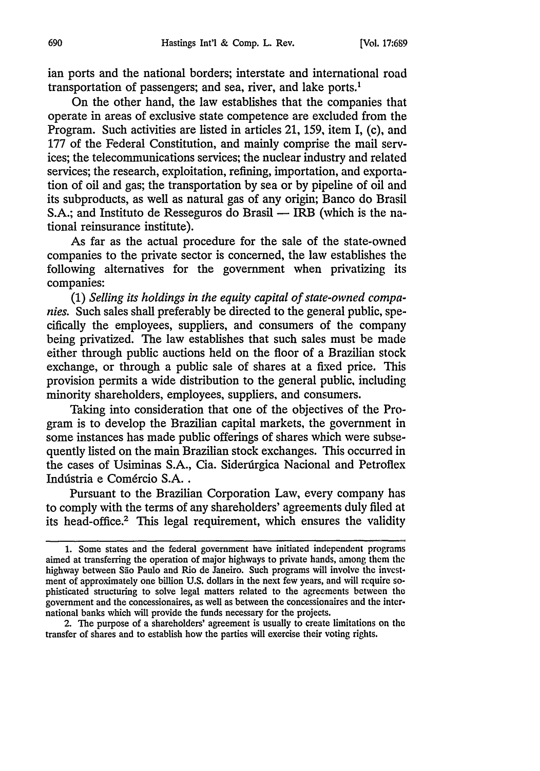ian ports and the national borders; interstate and international road transportation of passengers; and sea, river, and lake ports.'

On the other hand, the law establishes that the companies that operate in areas of exclusive state competence are excluded from the Program. Such activities are listed in articles 21, 159, item I, (c), and 177 of the Federal Constitution, and mainly comprise the mail services; the telecommunications services; the nuclear industry and related services; the research, exploitation, refining, importation, and exportation of oil and gas; the transportation by sea or by pipeline of oil and its subproducts, as well as natural gas of any origin; Banco do Brasil S.A.; and Instituto de Resseguros do Brasil — IRB (which is the national reinsurance institute).

As far as the actual procedure for the sale of the state-owned companies to the private sector is concerned, the law establishes the following alternatives for the government when privatizing its companies:

**(1)** *Selling its holdings in the equity capital of state-owned companies.* Such sales shall preferably be directed to the general public, specifically the employees, suppliers, and consumers of the company being privatized. The law establishes that such sales must be made either through public auctions held on the floor of a Brazilian stock exchange, or through a public sale of shares at a fixed price. This provision permits a wide distribution to the general public, including minority shareholders, employees, suppliers, and consumers.

Taking into consideration that one of the objectives of the Program is to develop the Brazilian capital markets, the government in some instances has made public offerings of shares which were subsequently listed on the main Brazilian stock exchanges. This occurred in the cases of Usiminas S.A., Cia. Siderúrgica Nacional and Petroflex Indústria e Comércio S.A..

Pursuant to the Brazilian Corporation Law, every company has to comply with the terms of any shareholders' agreements duly filed at its head-office.2 This legal requirement, which ensures the validity

2. The purpose of a shareholders' agreement is usually to create limitations on the transfer of shares and to establish how the parties will exercise their voting rights.

<sup>1.</sup> Some states and the federal government have initiated independent programs aimed at transferring the operation of major highways to private hands, among them the highway between São Paulo and Rio de Janeiro. Such programs will involve the investment of approximately one billion U.S. dollars in the next few years, and will require sophisticated structuring to solve legal matters related to the agreements between the government and the concessionaires, as well as between the concessionaires and the international banks which will provide the funds necessary for the projects.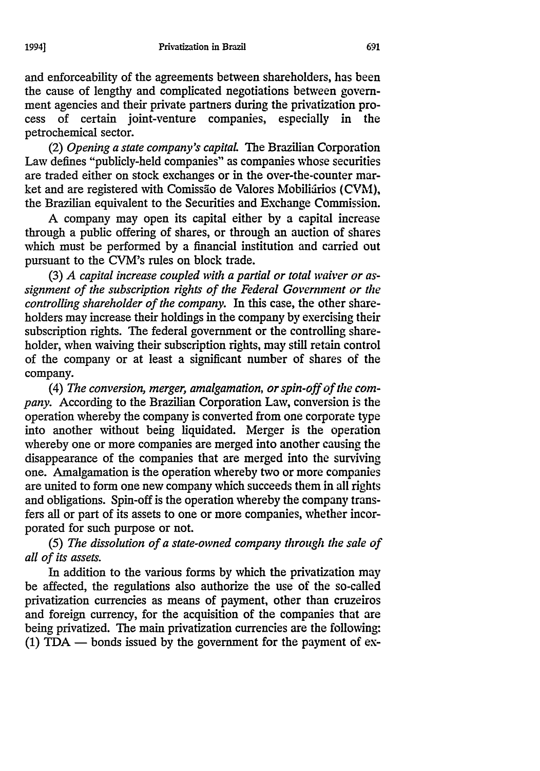and enforceability of the agreements between shareholders, has been the cause of lengthy and complicated negotiations between government agencies and their private partners during the privatization pro-

cess of certain joint-venture companies, especially in the petrochemical sector. (2) *Opening a state company's capitaL The* Brazilian Corporation

Law defines "publicly-held companies" as companies whose securities are traded either on stock exchanges or in the over-the-counter market and are registered with Comissão de Valores Mobiliários (CVM), the Brazilian equivalent to the Securities and Exchange Commission.

A company may open its capital either by a capital increase through a public offering of shares, or through an auction of shares which must be performed by a financial institution and carried out pursuant to the CVM's rules on block trade.

(3) *A capital increase coupled with a partial or total waiver or assignment of the subscription rights of the Federal Government or the controlling shareholder of the company.* In this case, the other shareholders may increase their holdings in the company by exercising their subscription rights. The federal government or the controlling shareholder, when waiving their subscription rights, may still retain control of the company or at least a significant number of shares of the company.

*(4) The conversion, merger, amalgamation, or spin-off of the company.* According to the Brazilian Corporation Law, conversion is the operation whereby the company is converted from one corporate type into another without being liquidated. Merger is the operation whereby one or more companies are merged into another causing the disappearance of the companies that are merged into the surviving one. Amalgamation is the operation whereby two or more companies are united to form one new company which succeeds them in all rights and obligations. Spin-off is the operation whereby the company transfers all or part of its assets to one or more companies, whether incorporated for such purpose or not.

*(5) The dissolution of a state-owned company through the sale of all of its assets.*

In addition to the various forms by which the privatization may be affected, the regulations also authorize the use of the so-called privatization currencies as means of payment, other than cruzeiros and foreign currency, for the acquisition of the companies that are being privatized. The main privatization currencies are the following:  $(1)$  TDA  $-$  bonds issued by the government for the payment of ex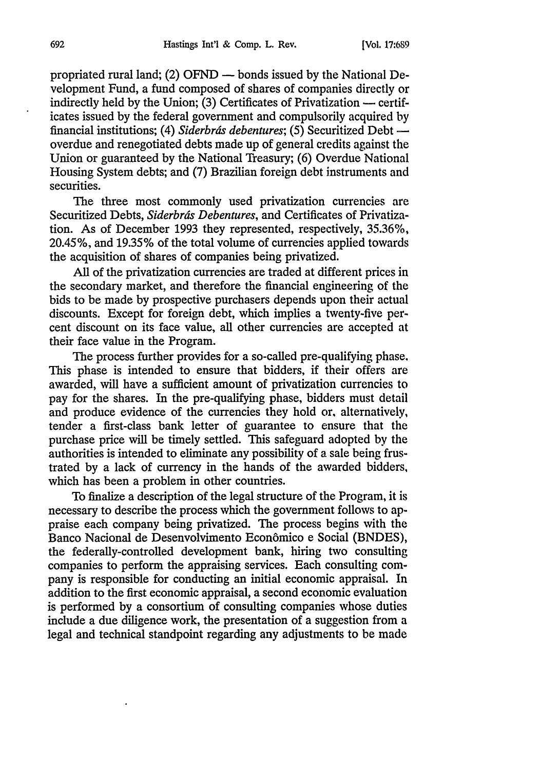propriated rural land; (2) OFND  $-$  bonds issued by the National Development Fund, a fund composed of shares of companies directly or indirectly held by the Union; (3) Certificates of Privatization **-** certificates issued by the federal government and compulsorily acquired by financial institutions; (4) *Siderbrds debentures;* (5) Securitized Debt overdue and renegotiated debts made up of general credits against the Union or guaranteed by the National Treasury; (6) Overdue National Housing System debts; and (7) Brazilian foreign debt instruments and securities.

The three most commonly used privatization currencies are Securitized Debts, *Siderbrds Debentures,* and Certificates of Privatization. As of December 1993 they represented, respectively, 35.36%, 20.45%, and 19.35% of the total volume of currencies applied towards the acquisition of shares of companies being privatized.

All of the privatization currencies are traded at different prices in the secondary market, and therefore the financial engineering of the bids to be made by prospective purchasers depends upon their actual discounts. Except for foreign debt, which implies a twenty-five percent discount on its face value, all other currencies are accepted at their face value in the Program.

The process further provides for a so-called pre-qualifying phase. This phase is intended to ensure that bidders, if their offers are awarded, will have a sufficient amount of privatization currencies to pay for the shares. In the pre-qualifying phase, bidders must detail and produce evidence of the currencies they hold or, alternatively, tender a first-class bank letter of guarantee to ensure that the purchase price will be timely settled. This safeguard adopted by the authorities is intended to eliminate any possibility of a sale being frustrated by a lack of currency in the hands of the awarded bidders, which has been a problem in other countries.

To finalize a description of the legal structure of the Program, it is necessary to describe the process which the government follows to appraise each company being privatized. The process begins with the Banco Nacional de Desenvolvimento Econ6mico e Social (BNDES), the federally-controlled development bank, hiring two consulting companies to perform the appraising services. Each consulting company is responsible for conducting an initial economic appraisal. In addition to the first economic appraisal, a second economic evaluation is performed by a consortium of consulting companies whose duties include a due diligence work, the presentation of a suggestion from a legal and technical standpoint regarding any adjustments to be made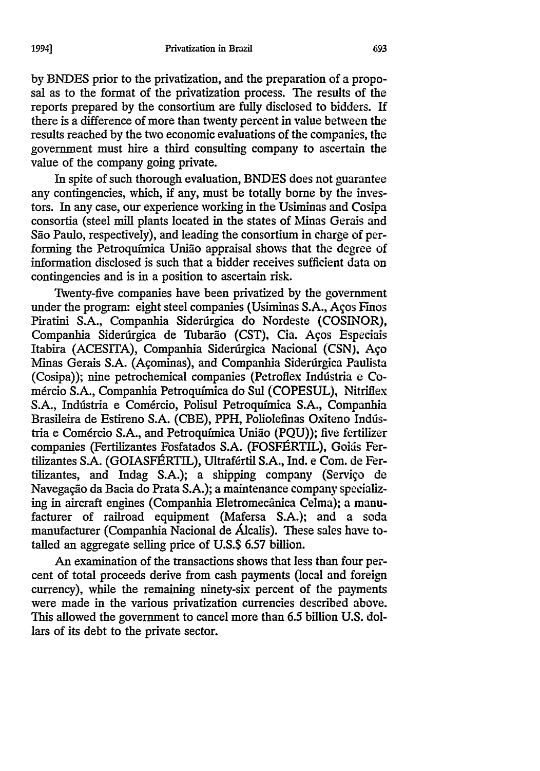by BNDES prior to the privatization, and the preparation of a proposal as to the format of the privatization process. The results of the reports prepared by the consortium are fully disclosed to bidders. If there is a difference of more than twenty percent in value between the results reached by the two economic evaluations of the companies, the government must hire a third consulting company to ascertain the value of the company going private.

In spite of such thorough evaluation, BNDES does not guarantee any contingencies, which, if any, must be totally borne by the investors. In any case, our experience working in the Usiminas and Cosipa consortia (steel mill plants located in the states of Minas Gerais and São Paulo, respectively), and leading the consortium in charge of performing the Petroquimica Unido appraisal shows that the degree of information disclosed is such that a bidder receives sufficient data on contingencies and is in a position to ascertain risk.

Twenty-five companies have been privatized by the government under the program: eight steel companies (Usiminas S.A., Aços Finos Piratini S.A., Companhia Siderdrgica do Nordeste (COSINOR), Companhia Siderúrgica de Tubarão (CST), Cia. Aços Especiais Itabira (ACESITA), Companhia Siderirgica Nacional (CSN), Ago Minas Gerais S.A. (Agominas), and Companhia Siderdrgica Paulista (Cosipa)); nine petrochemical companies (Petroflex Indústria e Com6rcio S.A., Companhia Petroqufmica do Sul (COPESUL), Nitriflex S.A., Indústria e Comércio, Polisul Petroquímica S.A., Companhia Brasileira de Estireno S.A. (CBE), PPH, Poliolefinas Oxiteno Indústria e Com6rcio S.A., and Petroqufmica Uniao (PQU)); five fertilizer companies (Fertilizantes Fosfatados S.A. (FOSFÉRTIL), Goiás Fertilizantes S.A. (GOIASFÉRTIL), Ultrafértil S.A., Ind. e Com. de Fertilizantes, and Indag S.A.); a shipping company (Servigo de Navegação da Bacia do Prata S.A.); a maintenance company specializing in aircraft engines (Companhia Eletromecânica Celma); a manufacturer of railroad equipment (Mafersa S.A.); and a soda manufacturer (Companhia Nacional de Alcalis). These sales have totalled an aggregate selling price of U.S.\$ 6.57 billion.

An examination of the transactions shows that less than four percent of total proceeds derive from cash payments (local and foreign currency), while the remaining ninety-six percent of the payments were made in the various privatization currencies described above. This allowed the government to cancel more than 6.5 billion U.S. dollars of its debt to the private sector.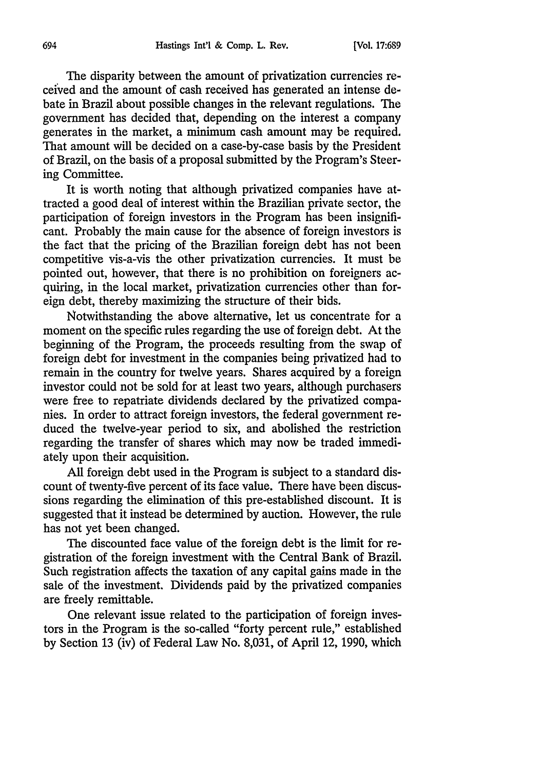The disparity between the amount of privatization currencies received and the amount of cash received has generated an intense debate in Brazil about possible changes in the relevant regulations. The government has decided that, depending on the interest a company generates in the market, a minimum cash amount may be required. That amount will be decided on a case-by-case basis by the President of Brazil, on the basis of a proposal submitted by the Program's Steering Committee.

It is worth noting that although privatized companies have attracted a good deal of interest within the Brazilian private sector, the participation of foreign investors in the Program has been insignificant. Probably the main cause for the absence of foreign investors is the fact that the pricing of the Brazilian foreign debt has not been competitive vis-a-vis the other privatization currencies. It must be pointed out, however, that there is no prohibition on foreigners acquiring, in the local market, privatization currencies other than foreign debt, thereby maximizing the structure of their bids.

Notwithstanding the above alternative, let us concentrate for a moment on the specific rules regarding the use of foreign debt. At the beginning of the Program, the proceeds resulting from the swap of foreign debt for investment in the companies being privatized had to remain in the country for twelve years. Shares acquired by a foreign investor could not be sold for at least two years, although purchasers were free to repatriate dividends declared by the privatized companies. In order to attract foreign investors, the federal government reduced the twelve-year period to six, and abolished the restriction regarding the transfer of shares which may now be traded immediately upon their acquisition.

All foreign debt used in the Program is subject to a standard discount of twenty-five percent of its face value. There have been discussions regarding the elimination of this pre-established discount. It is suggested that it instead be determined by auction. However, the rule has not yet been changed.

The discounted face value of the foreign debt is the limit for registration of the foreign investment with the Central Bank of Brazil. Such registration affects the taxation of any capital gains made in the sale of the investment. Dividends paid by the privatized companies are freely remittable.

One relevant issue related to the participation of foreign investors in the Program is the so-called "forty percent rule," established by Section **13** (iv) of Federal Law No. 8,031, of April 12, 1990, which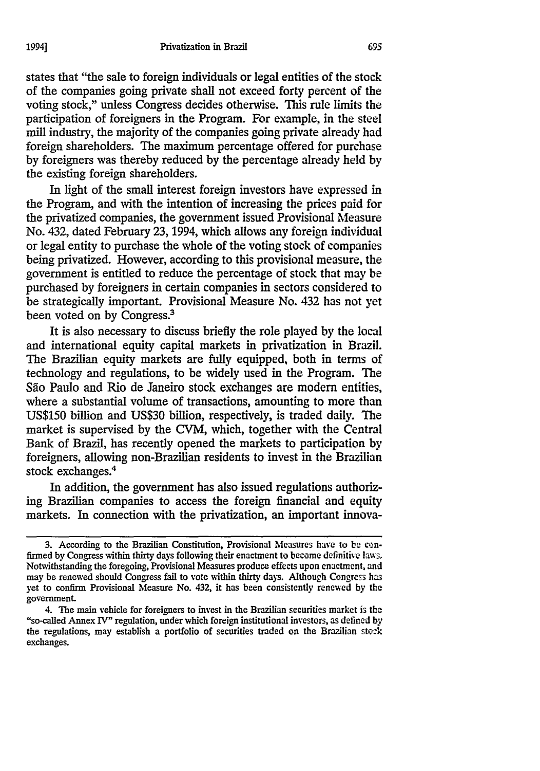states that "the sale to foreign individuals or legal entities of the stock of the companies going private shall not exceed forty percent of the voting stock," unless Congress decides otherwise. This rule limits the participation of foreigners in the Program. For example, in the steel mill industry, the majority of the companies going private already had foreign shareholders. The maximum percentage offered for purchase by foreigners was thereby reduced by the percentage already held by the existing foreign shareholders.

In light of the small interest foreign investors have expressed in the Program, and with the intention of increasing the prices paid for the privatized companies, the government issued Provisional Measure No. 432, dated February 23, 1994, which allows any foreign individual or legal entity to purchase the whole of the voting stock of companies being privatized. However, according to this provisional measure, the government is entitled to reduce the percentage of stock that may be purchased by foreigners in certain companies in sectors considered to be strategically important. Provisional Measure No. 432 has not yet been voted on by Congress.<sup>3</sup>

It is also necessary to discuss briefly the role played by the local and international equity capital markets in privatization in Brazil. The Brazilian equity markets are fully equipped, both in terms of technology and regulations, to be widely used in the Program. The São Paulo and Rio de Janeiro stock exchanges are modern entities, where a substantial volume of transactions, amounting to more than US\$150 billion and US\$30 billion, respectively, is traded daily. The market is supervised by the CVM, which, together with the Central Bank of Brazil, has recently opened the markets to participation by foreigners, allowing non-Brazilian residents to invest in the Brazilian stock exchanges.<sup>4</sup>

In addition, the government has also issued regulations authorizing Brazilian companies to access the foreign financial and equity markets. In connection with the privatization, an important innova-

**<sup>3.</sup>** According to the Brazilian Constitution, Provisional Measures have to be canfirmed **by** Congress within thirty days following their enactment to become definitive laws, Notwithstanding the foregoing, Provisional Measures produce effects upon enactment, and may be renewed should Congress fail to vote within thirty days. Although Congress has yet to confirm Provisional Measure No. 432, it has been consistently renewed by the government.

<sup>4.</sup> The main vehicle for foreigners to invest in the Brazilian securities market is the "so-called Annex IV" regulation, under which foreign institutional investors, as defined **by** the regulations, may establish a portfolio of securities traded on the Brazilian sto:k exchanges.